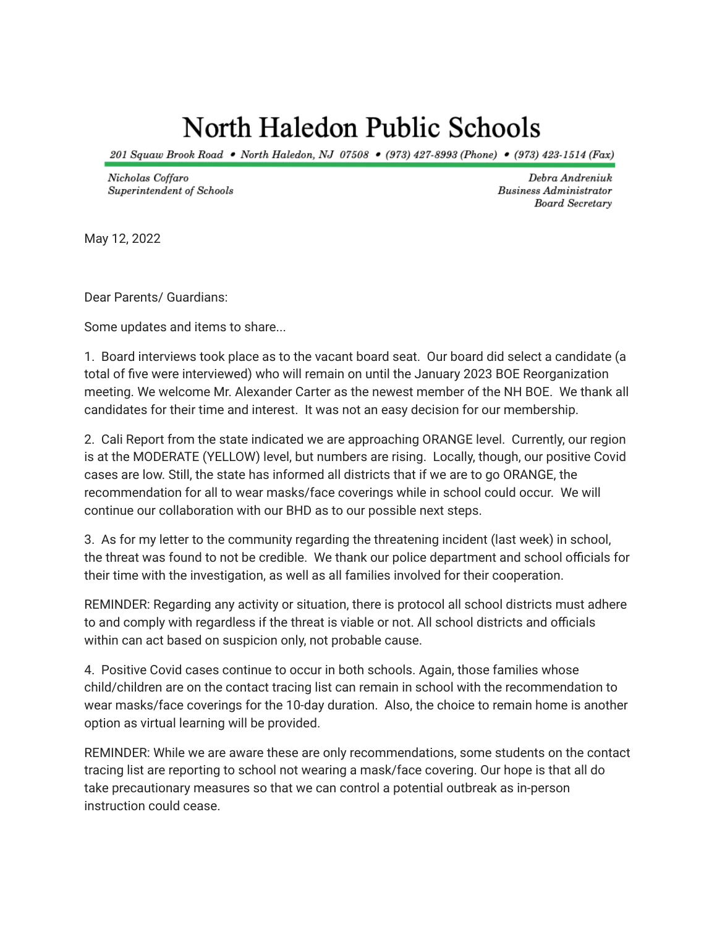## North Haledon Public Schools

201 Squaw Brook Road • North Haledon, NJ 07508 • (973) 427-8993 (Phone) • (973) 423-1514 (Fax)

Nicholas Coffaro Superintendent of Schools

Debra Andreniuk **Business Administrator** Board Secretary

May 12, 2022

Dear Parents/ Guardians:

Some updates and items to share...

1. Board interviews took place as to the vacant board seat. Our board did select a candidate (a total of five were interviewed) who will remain on until the January 2023 BOE Reorganization meeting. We welcome Mr. Alexander Carter as the newest member of the NH BOE. We thank all candidates for their time and interest. It was not an easy decision for our membership.

2. Cali Report from the state indicated we are approaching ORANGE level. Currently, our region is at the MODERATE (YELLOW) level, but numbers are rising. Locally, though, our positive Covid cases are low. Still, the state has informed all districts that if we are to go ORANGE, the recommendation for all to wear masks/face coverings while in school could occur. We will continue our collaboration with our BHD as to our possible next steps.

3. As for my letter to the community regarding the threatening incident (last week) in school, the threat was found to not be credible. We thank our police department and school officials for their time with the investigation, as well as all families involved for their cooperation.

REMINDER: Regarding any activity or situation, there is protocol all school districts must adhere to and comply with regardless if the threat is viable or not. All school districts and officials within can act based on suspicion only, not probable cause.

4. Positive Covid cases continue to occur in both schools. Again, those families whose child/children are on the contact tracing list can remain in school with the recommendation to wear masks/face coverings for the 10-day duration. Also, the choice to remain home is another option as virtual learning will be provided.

REMINDER: While we are aware these are only recommendations, some students on the contact tracing list are reporting to school not wearing a mask/face covering. Our hope is that all do take precautionary measures so that we can control a potential outbreak as in-person instruction could cease.